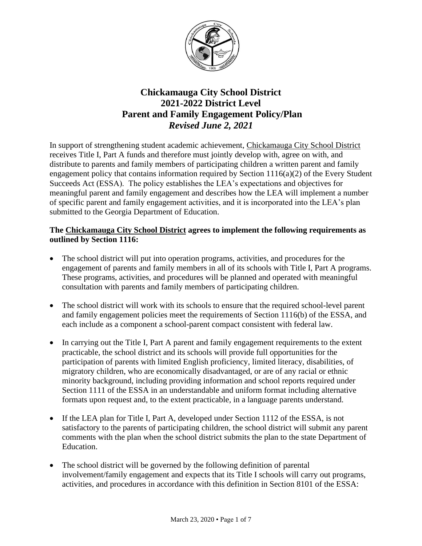

# **Chickamauga City School District 2021-2022 District Level Parent and Family Engagement Policy/Plan** *Revised June 2, 2021*

In support of strengthening student academic achievement, Chickamauga City School District receives Title I, Part A funds and therefore must jointly develop with, agree on with, and distribute to parents and family members of participating children a written parent and family engagement policy that contains information required by Section 1116(a)(2) of the Every Student Succeeds Act (ESSA). The policy establishes the LEA's expectations and objectives for meaningful parent and family engagement and describes how the LEA will implement a number of specific parent and family engagement activities, and it is incorporated into the LEA's plan submitted to the Georgia Department of Education.

### **The Chickamauga City School District agrees to implement the following requirements as outlined by Section 1116:**

- The school district will put into operation programs, activities, and procedures for the engagement of parents and family members in all of its schools with Title I, Part A programs. These programs, activities, and procedures will be planned and operated with meaningful consultation with parents and family members of participating children.
- The school district will work with its schools to ensure that the required school-level parent and family engagement policies meet the requirements of Section 1116(b) of the ESSA, and each include as a component a school-parent compact consistent with federal law.
- In carrying out the Title I, Part A parent and family engagement requirements to the extent practicable, the school district and its schools will provide full opportunities for the participation of parents with limited English proficiency, limited literacy, disabilities, of migratory children, who are economically disadvantaged, or are of any racial or ethnic minority background, including providing information and school reports required under Section 1111 of the ESSA in an understandable and uniform format including alternative formats upon request and, to the extent practicable, in a language parents understand.
- If the LEA plan for Title I, Part A, developed under Section 1112 of the ESSA, is not satisfactory to the parents of participating children, the school district will submit any parent comments with the plan when the school district submits the plan to the state Department of Education.
- The school district will be governed by the following definition of parental involvement/family engagement and expects that its Title I schools will carry out programs, activities, and procedures in accordance with this definition in Section 8101 of the ESSA: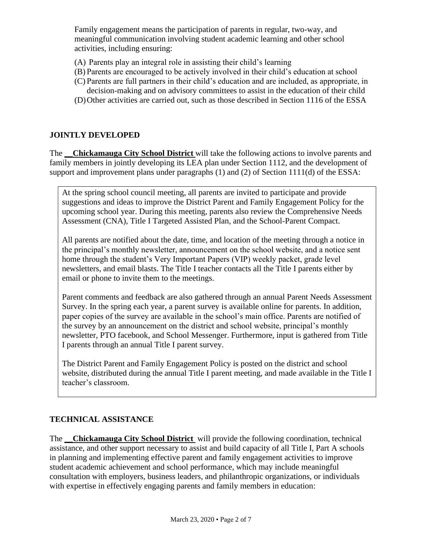Family engagement means the participation of parents in regular, two-way, and meaningful communication involving student academic learning and other school activities, including ensuring:

- (A) Parents play an integral role in assisting their child's learning
- (B) Parents are encouraged to be actively involved in their child's education at school
- (C) Parents are full partners in their child's education and are included, as appropriate, in decision-making and on advisory committees to assist in the education of their child
- (D)Other activities are carried out, such as those described in Section 1116 of the ESSA

### **JOINTLY DEVELOPED**

The \_\_**Chickamauga City School District** will take the following actions to involve parents and family members in jointly developing its LEA plan under Section 1112, and the development of support and improvement plans under paragraphs (1) and (2) of Section 1111(d) of the ESSA:

At the spring school council meeting, all parents are invited to participate and provide suggestions and ideas to improve the District Parent and Family Engagement Policy for the upcoming school year. During this meeting, parents also review the Comprehensive Needs Assessment (CNA), Title I Targeted Assisted Plan, and the School-Parent Compact.

All parents are notified about the date, time, and location of the meeting through a notice in the principal's monthly newsletter, announcement on the school website, and a notice sent home through the student's Very Important Papers (VIP) weekly packet, grade level newsletters, and email blasts. The Title I teacher contacts all the Title I parents either by email or phone to invite them to the meetings.

Parent comments and feedback are also gathered through an annual Parent Needs Assessment Survey. In the spring each year, a parent survey is available online for parents. In addition, paper copies of the survey are available in the school's main office. Parents are notified of the survey by an announcement on the district and school website, principal's monthly newsletter, PTO facebook, and School Messenger. Furthermore, input is gathered from Title I parents through an annual Title I parent survey.

The District Parent and Family Engagement Policy is posted on the district and school website, distributed during the annual Title I parent meeting, and made available in the Title I teacher's classroom.

### **TECHNICAL ASSISTANCE**

The \_\_**Chickamauga City School District** will provide the following coordination, technical assistance, and other support necessary to assist and build capacity of all Title I, Part A schools in planning and implementing effective parent and family engagement activities to improve student academic achievement and school performance, which may include meaningful consultation with employers, business leaders, and philanthropic organizations, or individuals with expertise in effectively engaging parents and family members in education: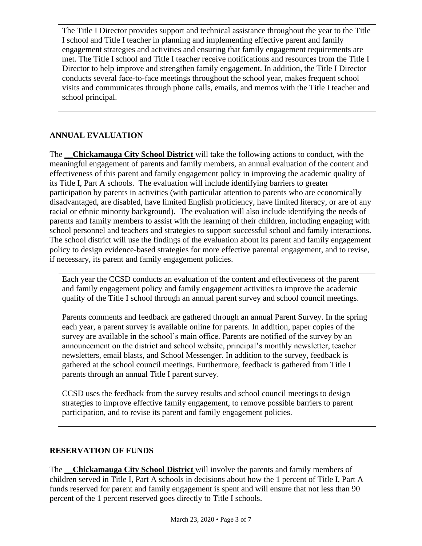The Title I Director provides support and technical assistance throughout the year to the Title I school and Title I teacher in planning and implementing effective parent and family engagement strategies and activities and ensuring that family engagement requirements are met. The Title I school and Title I teacher receive notifications and resources from the Title I Director to help improve and strengthen family engagement. In addition, the Title I Director conducts several face-to-face meetings throughout the school year, makes frequent school visits and communicates through phone calls, emails, and memos with the Title I teacher and school principal.

# **ANNUAL EVALUATION**

The \_\_**Chickamauga City School District** will take the following actions to conduct, with the meaningful engagement of parents and family members, an annual evaluation of the content and effectiveness of this parent and family engagement policy in improving the academic quality of its Title I, Part A schools. The evaluation will include identifying barriers to greater participation by parents in activities (with particular attention to parents who are economically disadvantaged, are disabled, have limited English proficiency, have limited literacy, or are of any racial or ethnic minority background). The evaluation will also include identifying the needs of parents and family members to assist with the learning of their children, including engaging with school personnel and teachers and strategies to support successful school and family interactions. The school district will use the findings of the evaluation about its parent and family engagement policy to design evidence-based strategies for more effective parental engagement, and to revise, if necessary, its parent and family engagement policies.

Each year the CCSD conducts an evaluation of the content and effectiveness of the parent and family engagement policy and family engagement activities to improve the academic quality of the Title I school through an annual parent survey and school council meetings.

Parents comments and feedback are gathered through an annual Parent Survey. In the spring each year, a parent survey is available online for parents. In addition, paper copies of the survey are available in the school's main office. Parents are notified of the survey by an announcement on the district and school website, principal's monthly newsletter, teacher newsletters, email blasts, and School Messenger. In addition to the survey, feedback is gathered at the school council meetings. Furthermore, feedback is gathered from Title I parents through an annual Title I parent survey.

CCSD uses the feedback from the survey results and school council meetings to design strategies to improve effective family engagement, to remove possible barriers to parent participation, and to revise its parent and family engagement policies.

### **RESERVATION OF FUNDS**

The \_\_**Chickamauga City School District** will involve the parents and family members of children served in Title I, Part A schools in decisions about how the 1 percent of Title I, Part A funds reserved for parent and family engagement is spent and will ensure that not less than 90 percent of the 1 percent reserved goes directly to Title I schools.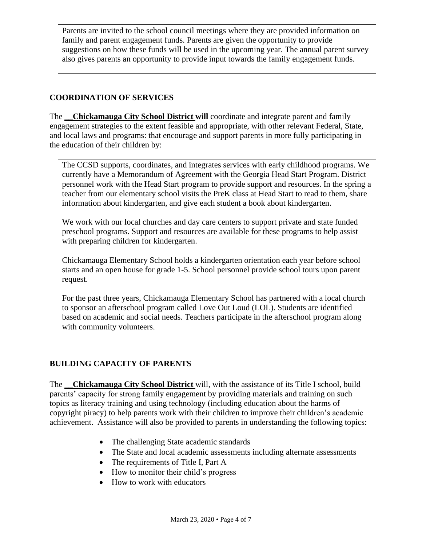Parents are invited to the school council meetings where they are provided information on family and parent engagement funds. Parents are given the opportunity to provide suggestions on how these funds will be used in the upcoming year. The annual parent survey also gives parents an opportunity to provide input towards the family engagement funds.

### **COORDINATION OF SERVICES**

The **Chickamauga City School District will** coordinate and integrate parent and family engagement strategies to the extent feasible and appropriate, with other relevant Federal, State, and local laws and programs: that encourage and support parents in more fully participating in the education of their children by:

The CCSD supports, coordinates, and integrates services with early childhood programs. We currently have a Memorandum of Agreement with the Georgia Head Start Program. District personnel work with the Head Start program to provide support and resources. In the spring a teacher from our elementary school visits the PreK class at Head Start to read to them, share information about kindergarten, and give each student a book about kindergarten.

We work with our local churches and day care centers to support private and state funded preschool programs. Support and resources are available for these programs to help assist with preparing children for kindergarten.

Chickamauga Elementary School holds a kindergarten orientation each year before school starts and an open house for grade 1-5. School personnel provide school tours upon parent request.

For the past three years, Chickamauga Elementary School has partnered with a local church to sponsor an afterschool program called Love Out Loud (LOL). Students are identified based on academic and social needs. Teachers participate in the afterschool program along with community volunteers.

### **BUILDING CAPACITY OF PARENTS**

The \_\_**Chickamauga City School District** will, with the assistance of its Title I school, build parents' capacity for strong family engagement by providing materials and training on such topics as literacy training and using technology (including education about the harms of copyright piracy) to help parents work with their children to improve their children's academic achievement. Assistance will also be provided to parents in understanding the following topics:

- The challenging State academic standards
- The State and local academic assessments including alternate assessments
- The requirements of Title I, Part A
- How to monitor their child's progress
- How to work with educators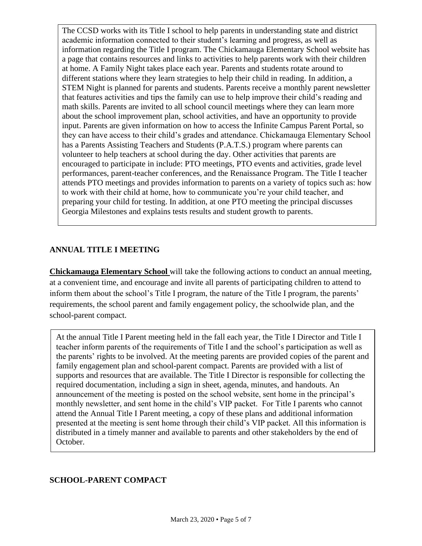The CCSD works with its Title I school to help parents in understanding state and district academic information connected to their student's learning and progress, as well as information regarding the Title I program. The Chickamauga Elementary School website has a page that contains resources and links to activities to help parents work with their children at home. A Family Night takes place each year. Parents and students rotate around to different stations where they learn strategies to help their child in reading. In addition, a STEM Night is planned for parents and students. Parents receive a monthly parent newsletter that features activities and tips the family can use to help improve their child's reading and math skills. Parents are invited to all school council meetings where they can learn more about the school improvement plan, school activities, and have an opportunity to provide input. Parents are given information on how to access the Infinite Campus Parent Portal, so they can have access to their child's grades and attendance. Chickamauga Elementary School has a Parents Assisting Teachers and Students (P.A.T.S.) program where parents can volunteer to help teachers at school during the day. Other activities that parents are encouraged to participate in include: PTO meetings, PTO events and activities, grade level performances, parent-teacher conferences, and the Renaissance Program. The Title I teacher attends PTO meetings and provides information to parents on a variety of topics such as: how to work with their child at home, how to communicate you're your child teacher, and preparing your child for testing. In addition, at one PTO meeting the principal discusses Georgia Milestones and explains tests results and student growth to parents.

### **ANNUAL TITLE I MEETING**

**Chickamauga Elementary School** will take the following actions to conduct an annual meeting, at a convenient time, and encourage and invite all parents of participating children to attend to inform them about the school's Title I program, the nature of the Title I program, the parents' requirements, the school parent and family engagement policy, the schoolwide plan, and the school-parent compact.

At the annual Title I Parent meeting held in the fall each year, the Title I Director and Title I teacher inform parents of the requirements of Title I and the school's participation as well as the parents' rights to be involved. At the meeting parents are provided copies of the parent and family engagement plan and school-parent compact. Parents are provided with a list of supports and resources that are available. The Title I Director is responsible for collecting the required documentation, including a sign in sheet, agenda, minutes, and handouts. An announcement of the meeting is posted on the school website, sent home in the principal's monthly newsletter, and sent home in the child's VIP packet. For Title I parents who cannot attend the Annual Title I Parent meeting, a copy of these plans and additional information presented at the meeting is sent home through their child's VIP packet. All this information is distributed in a timely manner and available to parents and other stakeholders by the end of October.

### **SCHOOL-PARENT COMPACT**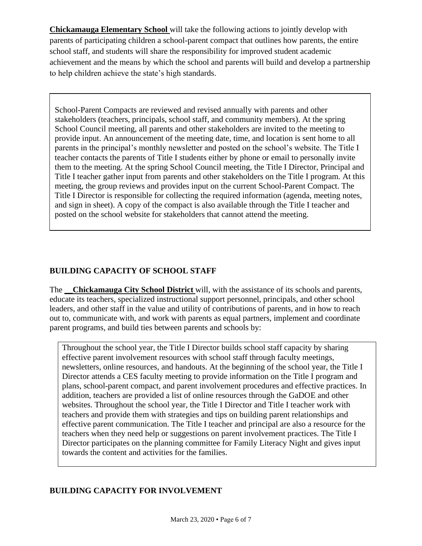**Chickamauga Elementary School** will take the following actions to jointly develop with parents of participating children a school-parent compact that outlines how parents, the entire school staff, and students will share the responsibility for improved student academic achievement and the means by which the school and parents will build and develop a partnership to help children achieve the state's high standards.

School-Parent Compacts are reviewed and revised annually with parents and other stakeholders (teachers, principals, school staff, and community members). At the spring School Council meeting, all parents and other stakeholders are invited to the meeting to provide input. An announcement of the meeting date, time, and location is sent home to all parents in the principal's monthly newsletter and posted on the school's website. The Title I teacher contacts the parents of Title I students either by phone or email to personally invite them to the meeting. At the spring School Council meeting, the Title I Director, Principal and Title I teacher gather input from parents and other stakeholders on the Title I program. At this meeting, the group reviews and provides input on the current School-Parent Compact. The Title I Director is responsible for collecting the required information (agenda, meeting notes, and sign in sheet). A copy of the compact is also available through the Title I teacher and posted on the school website for stakeholders that cannot attend the meeting.

## **BUILDING CAPACITY OF SCHOOL STAFF**

The \_\_**Chickamauga City School District** will, with the assistance of its schools and parents, educate its teachers, specialized instructional support personnel, principals, and other school leaders, and other staff in the value and utility of contributions of parents, and in how to reach out to, communicate with, and work with parents as equal partners, implement and coordinate parent programs, and build ties between parents and schools by:

Throughout the school year, the Title I Director builds school staff capacity by sharing effective parent involvement resources with school staff through faculty meetings, newsletters, online resources, and handouts. At the beginning of the school year, the Title I Director attends a CES faculty meeting to provide information on the Title I program and plans, school-parent compact, and parent involvement procedures and effective practices. In addition, teachers are provided a list of online resources through the GaDOE and other websites. Throughout the school year, the Title I Director and Title I teacher work with teachers and provide them with strategies and tips on building parent relationships and effective parent communication. The Title I teacher and principal are also a resource for the teachers when they need help or suggestions on parent involvement practices. The Title I Director participates on the planning committee for Family Literacy Night and gives input towards the content and activities for the families.

### **BUILDING CAPACITY FOR INVOLVEMENT**